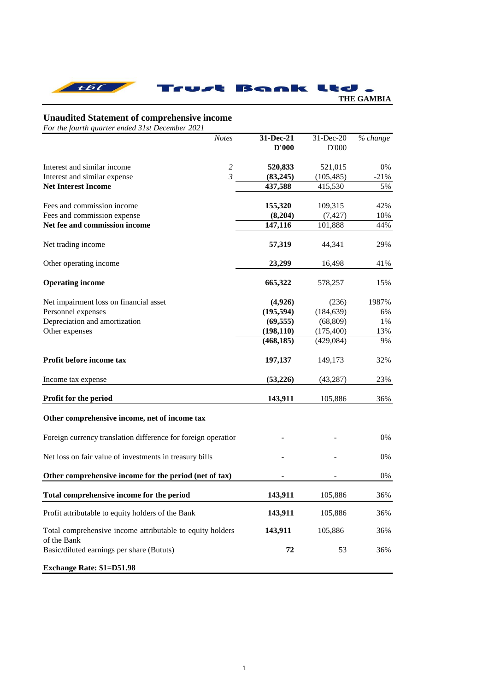

## **Unaudited Statement of comprehensive income**

*For the fourth quarter ended 31st December 2021*

|                                                               | <b>Notes</b>   | 31-Dec-21  | $31$ -Dec-20 | % change |
|---------------------------------------------------------------|----------------|------------|--------------|----------|
|                                                               |                | D'000      | D'000        |          |
|                                                               |                |            |              |          |
| Interest and similar income                                   | $\overline{c}$ | 520,833    | 521,015      | 0%       |
| Interest and similar expense                                  | $\mathfrak{Z}$ | (83, 245)  | (105, 485)   | $-21%$   |
| <b>Net Interest Income</b>                                    |                | 437,588    | 415,530      | 5%       |
|                                                               |                |            |              |          |
| Fees and commission income                                    |                | 155,320    | 109,315      | 42%      |
| Fees and commission expense                                   |                | (8,204)    | (7, 427)     | 10%      |
| Net fee and commission income                                 |                | 147,116    | 101,888      | 44%      |
|                                                               |                |            |              |          |
| Net trading income                                            |                | 57,319     | 44,341       | 29%      |
|                                                               |                |            |              |          |
| Other operating income                                        |                | 23,299     | 16,498       | 41%      |
|                                                               |                |            |              |          |
| <b>Operating income</b>                                       |                | 665,322    | 578,257      | 15%      |
|                                                               |                |            |              |          |
| Net impairment loss on financial asset                        |                | (4,926)    | (236)        | 1987%    |
| Personnel expenses                                            |                | (195, 594) | (184, 639)   | 6%       |
| Depreciation and amortization                                 |                | (69, 555)  | (68, 809)    | 1%       |
| Other expenses                                                |                | (198, 110) | (175, 400)   | 13%      |
|                                                               |                | (468, 185) | (429,084)    | 9%       |
| Profit before income tax                                      |                |            |              |          |
|                                                               |                | 197,137    | 149,173      | 32%      |
| Income tax expense                                            |                | (53,226)   | (43, 287)    | 23%      |
|                                                               |                |            |              |          |
| Profit for the period                                         |                | 143,911    | 105,886      | 36%      |
|                                                               |                |            |              |          |
| Other comprehensive income, net of income tax                 |                |            |              |          |
|                                                               |                |            |              |          |
| Foreign currency translation difference for foreign operation |                |            |              | 0%       |
|                                                               |                |            |              |          |
| Net loss on fair value of investments in treasury bills       |                |            |              | 0%       |
|                                                               |                |            |              |          |
| Other comprehensive income for the period (net of tax)        |                |            |              | $0\%$    |
|                                                               |                |            |              |          |
| Total comprehensive income for the period                     |                | 143,911    | 105,886      | 36%      |
| Profit attributable to equity holders of the Bank             |                | 143,911    | 105,886      | 36%      |
|                                                               |                |            |              |          |
| Total comprehensive income attributable to equity holders     |                | 143,911    | 105,886      | 36%      |
| of the Bank                                                   |                |            |              |          |
| Basic/diluted earnings per share (Bututs)                     |                | 72         | 53           | 36%      |
|                                                               |                |            |              |          |
| <b>Exchange Rate: \$1=D51.98</b>                              |                |            |              |          |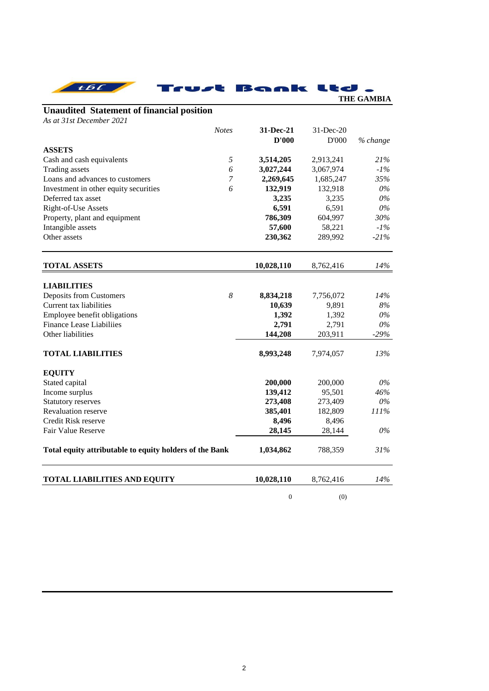| t 6 L                                                   |              | Bank             | <b>Contract</b> | <b>THE GAMBIA</b> |
|---------------------------------------------------------|--------------|------------------|-----------------|-------------------|
| <b>Unaudited Statement of financial position</b>        |              |                  |                 |                   |
| As at 31st December 2021                                |              |                  |                 |                   |
|                                                         | <b>Notes</b> | <b>31-Dec-21</b> | 31-Dec-20       |                   |
|                                                         |              | D'000            | D'000           | % change          |
| <b>ASSETS</b>                                           |              |                  |                 |                   |
| Cash and cash equivalents                               | 5            | 3,514,205        | 2,913,241       | 21%               |
| Trading assets                                          | 6            | 3,027,244        | 3,067,974       | $-1\%$            |
| Loans and advances to customers                         | 7            | 2,269,645        | 1,685,247       | 35%               |
| Investment in other equity securities                   | 6            | 132,919          | 132,918         | $0\%$             |
| Deferred tax asset                                      |              | 3,235            | 3,235           | $0\%$             |
| Right-of-Use Assets                                     |              | 6,591            | 6,591           | $0\%$             |
| Property, plant and equipment                           |              | 786,309          | 604,997         | 30%               |
| Intangible assets                                       |              | 57,600           | 58,221          | $-1\%$            |
| Other assets                                            |              | 230,362          | 289,992         | $-21%$            |
| <b>TOTAL ASSETS</b>                                     |              | 10,028,110       | 8,762,416       | 14%               |
|                                                         |              |                  |                 |                   |
| <b>LIABILITIES</b>                                      |              |                  |                 |                   |
| Deposits from Customers                                 | 8            | 8,834,218        | 7,756,072       | 14%               |
| Current tax liabilities                                 |              | 10,639           | 9,891           | 8%                |
| Employee benefit obligations                            |              | 1,392            | 1,392           | $0\%$             |
| <b>Finance Lease Liabiliies</b>                         |              | 2,791            | 2,791           | $0\%$             |
| Other liabilities                                       |              | 144,208          | 203,911         | $-29%$            |
| <b>TOTAL LIABILITIES</b>                                |              | 8,993,248        | 7,974,057       | 13%               |
| <b>EQUITY</b>                                           |              |                  |                 |                   |
| Stated capital                                          |              | 200,000          | 200,000         | 0%                |
| Income surplus                                          |              | 139,412          | 95,501          | 46%               |
| <b>Statutory reserves</b>                               |              | 273,408          | 273,409         | $0\%$             |
| Revaluation reserve                                     |              | 385,401          | 182,809         | 111%              |
| Credit Risk reserve                                     |              | 8,496            | 8,496           |                   |
| Fair Value Reserve                                      |              | 28,145           | 28,144          | $0\%$             |
| Total equity attributable to equity holders of the Bank |              | 1,034,862        | 788,359         | 31%               |
| <b>TOTAL LIABILITIES AND EQUITY</b>                     |              | 10,028,110       | 8,762,416       | 14%               |
|                                                         |              | $\boldsymbol{0}$ | (0)             |                   |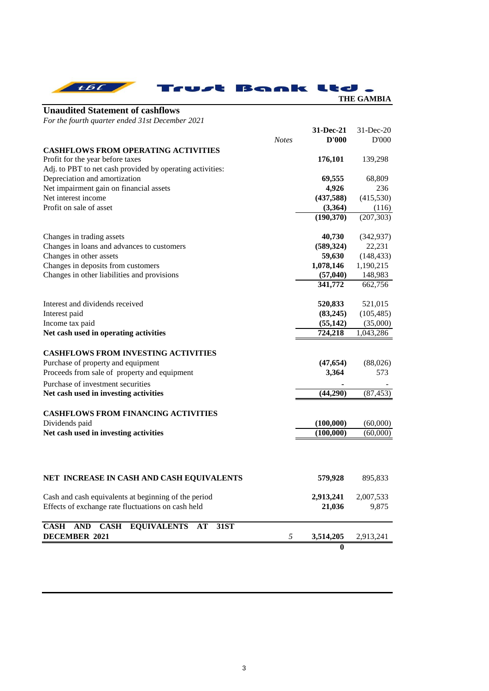| tbc                                             | Trust Bank Ltd . | <b>THE GAMBIA</b>           |
|-------------------------------------------------|------------------|-----------------------------|
| <b>Unaudited Statement of cashflows</b>         |                  |                             |
| For the fourth quarter ended 31st December 2021 |                  |                             |
|                                                 |                  | $31 - Dec-21$ $31 - Dec-20$ |

|                                                                              | <b>Notes</b> | D'000            | D'000      |
|------------------------------------------------------------------------------|--------------|------------------|------------|
| <b>CASHFLOWS FROM OPERATING ACTIVITIES</b>                                   |              |                  |            |
| Profit for the year before taxes                                             |              | 176,101          | 139,298    |
| Adj. to PBT to net cash provided by operating activities:                    |              |                  |            |
| Depreciation and amortization                                                |              | 69,555           | 68,809     |
| Net impairment gain on financial assets                                      |              | 4,926            | 236        |
| Net interest income                                                          |              | (437,588)        | (415, 530) |
| Profit on sale of asset                                                      |              | (3,364)          | (116)      |
|                                                                              |              | (190,370)        | (207, 303) |
|                                                                              |              |                  |            |
| Changes in trading assets                                                    |              | 40,730           | (342, 937) |
| Changes in loans and advances to customers                                   |              | (589, 324)       | 22,231     |
| Changes in other assets                                                      |              | 59,630           | (148, 433) |
| Changes in deposits from customers                                           |              | 1,078,146        | 1,190,215  |
| Changes in other liabilities and provisions                                  |              | (57, 040)        | 148,983    |
|                                                                              |              | 341,772          | 662,756    |
|                                                                              |              |                  |            |
| Interest and dividends received                                              |              | 520,833          | 521,015    |
| Interest paid                                                                |              | (83,245)         | (105, 485) |
| Income tax paid                                                              |              | (55, 142)        | (35,000)   |
| Net cash used in operating activities                                        |              | 724,218          | 1,043,286  |
|                                                                              |              |                  |            |
| <b>CASHFLOWS FROM INVESTING ACTIVITIES</b>                                   |              |                  |            |
| Purchase of property and equipment                                           |              | (47, 654)        | (88,026)   |
| Proceeds from sale of property and equipment                                 |              | 3,364            | 573        |
|                                                                              |              |                  |            |
| Purchase of investment securities                                            |              |                  |            |
| Net cash used in investing activities                                        |              | (44,290)         | (87, 453)  |
|                                                                              |              |                  |            |
| <b>CASHFLOWS FROM FINANCING ACTIVITIES</b>                                   |              |                  |            |
| Dividends paid                                                               |              | (100,000)        | (60,000)   |
| Net cash used in investing activities                                        |              | (100,000)        | (60,000)   |
|                                                                              |              |                  |            |
|                                                                              |              |                  |            |
|                                                                              |              |                  |            |
| NET INCREASE IN CASH AND CASH EQUIVALENTS                                    |              | 579,928          | 895,833    |
|                                                                              |              |                  |            |
| Cash and cash equivalents at beginning of the period                         |              | 2,913,241        | 2,007,533  |
| Effects of exchange rate fluctuations on cash held                           |              | 21,036           | 9,875      |
|                                                                              |              |                  |            |
| <b>CASH</b><br><b>AND</b><br><b>CASH</b><br><b>EQUIVALENTS</b><br>31ST<br>AT |              |                  |            |
| <b>DECEMBER 2021</b>                                                         | 5            | 3,514,205        | 2,913,241  |
|                                                                              |              |                  |            |
|                                                                              |              | $\boldsymbol{0}$ |            |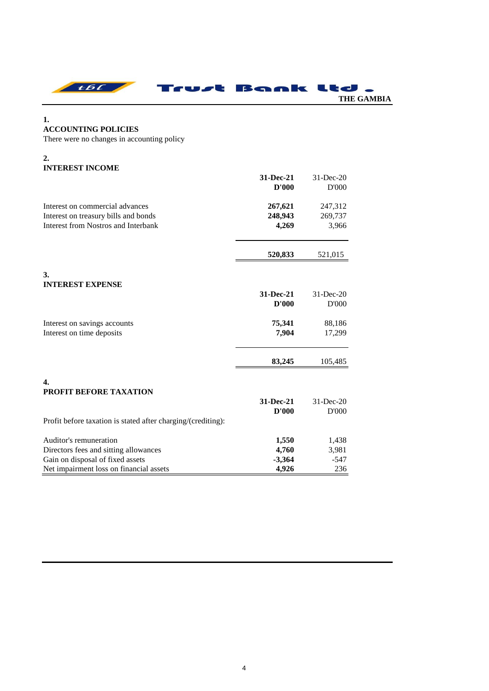

## **1. ACCOUNTING POLICIES**

There were no changes in accounting policy

# **2. INTEREST INCOME**

|                                                              | 31-Dec-21<br>D'000 | $31$ -Dec-20<br>D'000 |
|--------------------------------------------------------------|--------------------|-----------------------|
| Interest on commercial advances                              | 267,621            | 247,312               |
| Interest on treasury bills and bonds                         | 248,943            | 269,737               |
| Interest from Nostros and Interbank                          | 4,269              | 3,966                 |
|                                                              | 520,833            | 521,015               |
| 3.                                                           |                    |                       |
| <b>INTEREST EXPENSE</b>                                      |                    |                       |
|                                                              | 31-Dec-21          | 31-Dec-20             |
|                                                              | D'000              | D'000                 |
| Interest on savings accounts                                 | 75,341             | 88,186                |
| Interest on time deposits                                    | 7,904              | 17,299                |
|                                                              | 83,245             | 105,485               |
| 4.                                                           |                    |                       |
| <b>PROFIT BEFORE TAXATION</b>                                | 31-Dec-21          | $31$ -Dec-20          |
|                                                              | D'000              | D'000                 |
| Profit before taxation is stated after charging/(crediting): |                    |                       |
| Auditor's remuneration                                       | 1,550              | 1,438                 |
| Directors fees and sitting allowances                        | 4,760              | 3,981                 |
| Gain on disposal of fixed assets                             | $-3,364$           | $-547$                |
| Net impairment loss on financial assets                      | 4,926              | 236                   |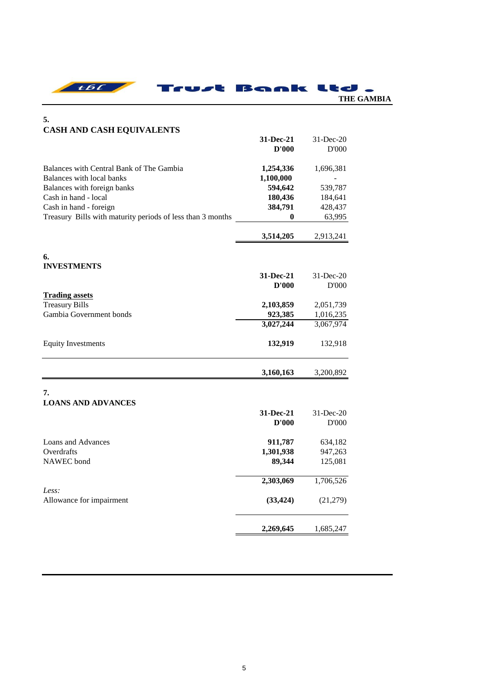|  | Trust Bank Ltd . |            |  |
|--|------------------|------------|--|
|  |                  | THE GAMBIA |  |

# **5. CASH AND CASH EQUIVALENTS 31-Dec-21** 31-Dec-20 **D'000** D'000 Balances with Central Bank of The Gambia **1,254,336** 1,696,381 Balances with local banks **1,100,000** -Balances with foreign banks **594,642** 539,787 Cash in hand - local **180,436** 184,641 Cash in hand - foreign **384,791** 428,437 Treasury Bills with maturity periods of less than 3 months **0** 63,995 **3,514,205** 2,913,241 **6. INVESTMENTS 31-Dec-21** 31-Dec-20 **D'000** D'000 **Trading assets Treasury Bills 2,103,859** 2,051,739 Gambia Government bonds **923,385** 1,016,235 **3,027,244** 3,067,974 Equity Investments **132,919** 132,918 **3,160,163** 3,200,892 **7. LOANS AND ADVANCES 31-Dec-21** 31-Dec-20 **D'000** D'000 Loans and Advances **911,787** 634,182 Overdrafts **1,301,938** 947,263 NAWEC bond **89,344** 125,081 **2,303,069** 1,706,526 *Less:* Allowance for impairment **(33,424)** (21,279) **2,269,645** 1,685,247